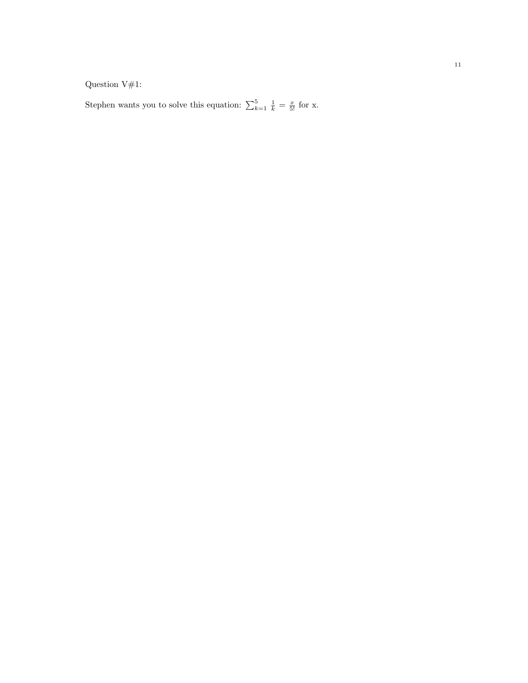Question V#1:

Stephen wants you to solve this equation:  $\sum_{k=1}^{5} \frac{1}{k} = \frac{x}{5!}$  for x.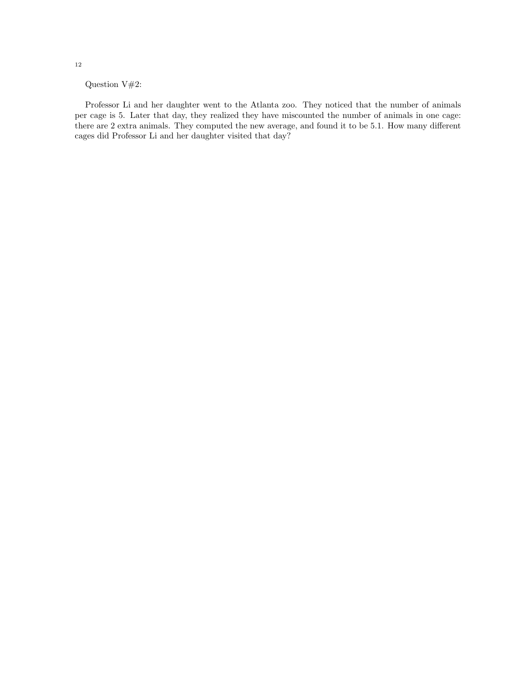Question V#2:

Professor Li and her daughter went to the Atlanta zoo. They noticed that the number of animals per cage is 5. Later that day, they realized they have miscounted the number of animals in one cage: there are 2 extra animals. They computed the new average, and found it to be 5.1. How many different cages did Professor Li and her daughter visited that day?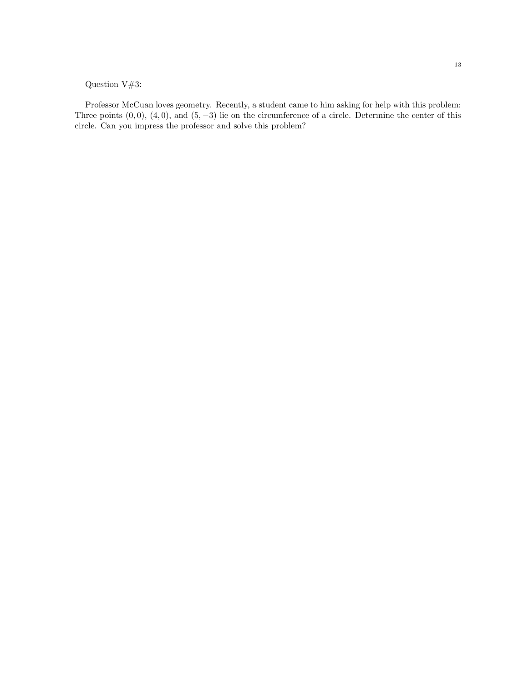## Question V#3:

Professor McCuan loves geometry. Recently, a student came to him asking for help with this problem: Three points  $(0, 0)$ ,  $(4, 0)$ , and  $(5, -3)$  lie on the circumference of a circle. Determine the center of this circle. Can you impress the professor and solve this problem?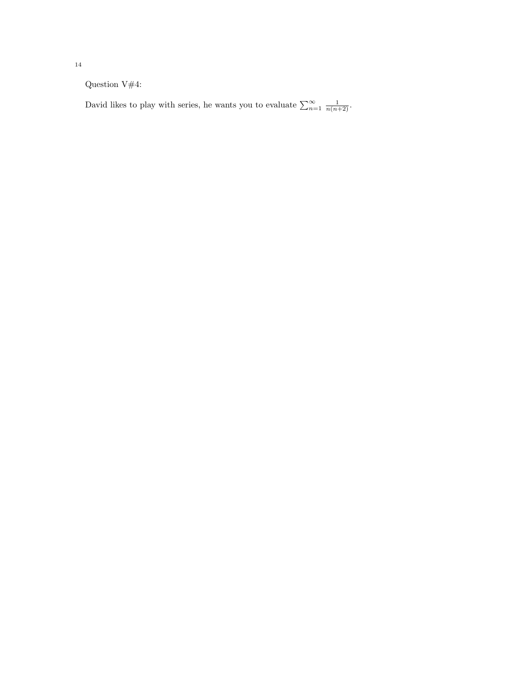Question V#4:

David likes to play with series, he wants you to evaluate  $\sum_{n=1}^{\infty} \frac{1}{n(n+2)}$ .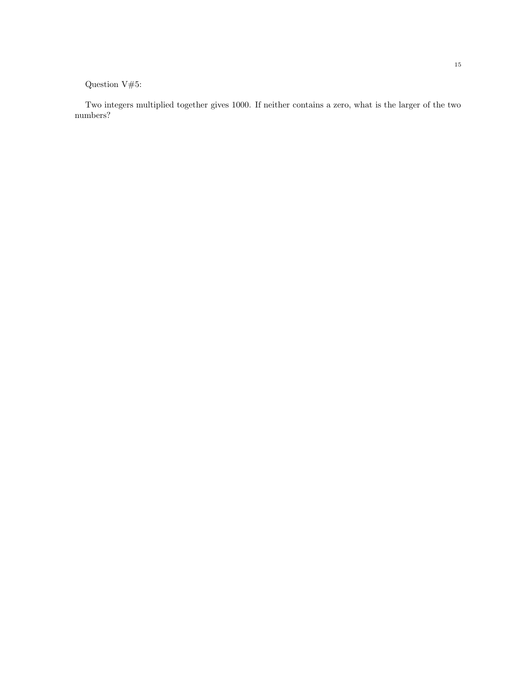Question V#5:

Two integers multiplied together gives 1000. If neither contains a zero, what is the larger of the two numbers?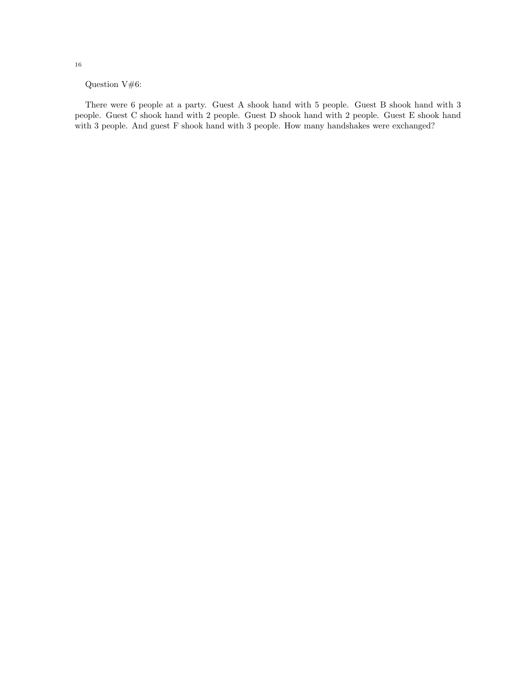Question V#6:

There were 6 people at a party. Guest A shook hand with 5 people. Guest B shook hand with 3 people. Guest C shook hand with 2 people. Guest D shook hand with 2 people. Guest E shook hand with 3 people. And guest F shook hand with 3 people. How many handshakes were exchanged?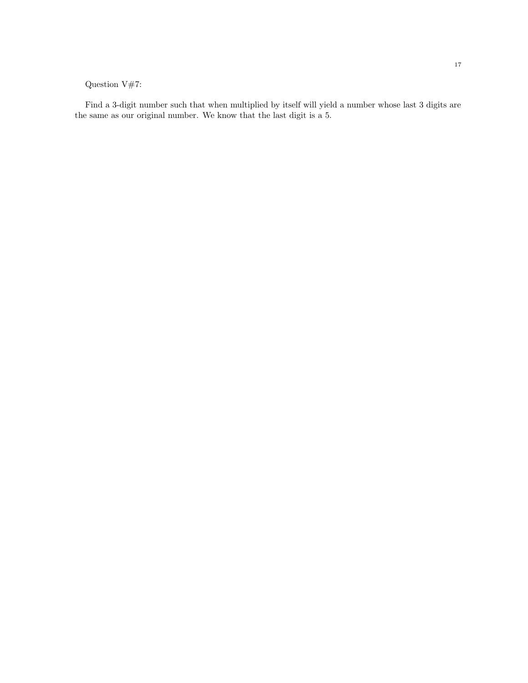## Question V#7:

Find a 3-digit number such that when multiplied by itself will yield a number whose last 3 digits are the same as our original number. We know that the last digit is a 5.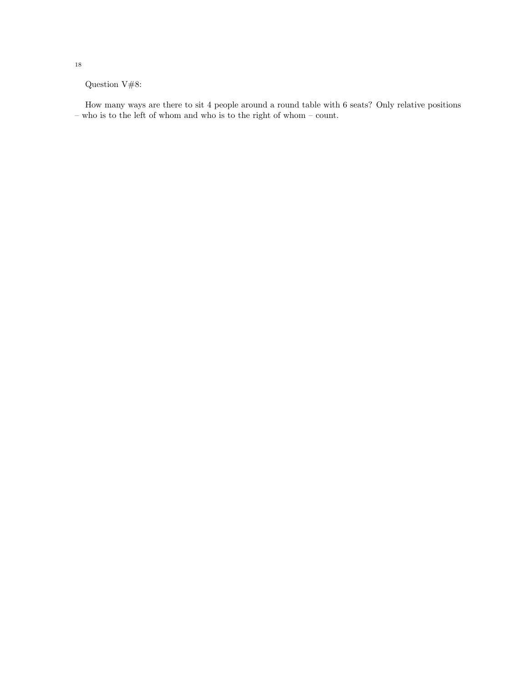Question V#8:

How many ways are there to sit 4 people around a round table with 6 seats? Only relative positions – who is to the left of whom and who is to the right of whom – count.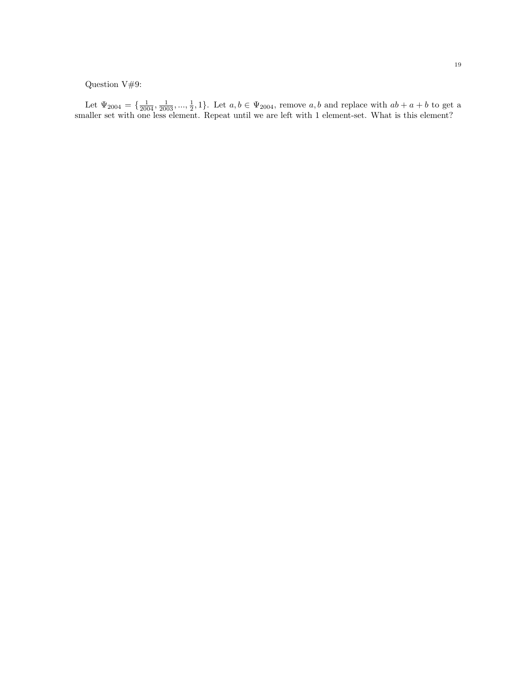## Question V#9:

Let  $\Psi_{2004} = \{\frac{1}{2004}, \frac{1}{2003}, ..., \frac{1}{2}, 1\}$ . Let  $a, b \in \Psi_{2004}$ , remove  $a, b$  and replace with  $ab + a + b$  to get a smaller set with one less element. Repeat until we are left with 1 element-set. What is this element?